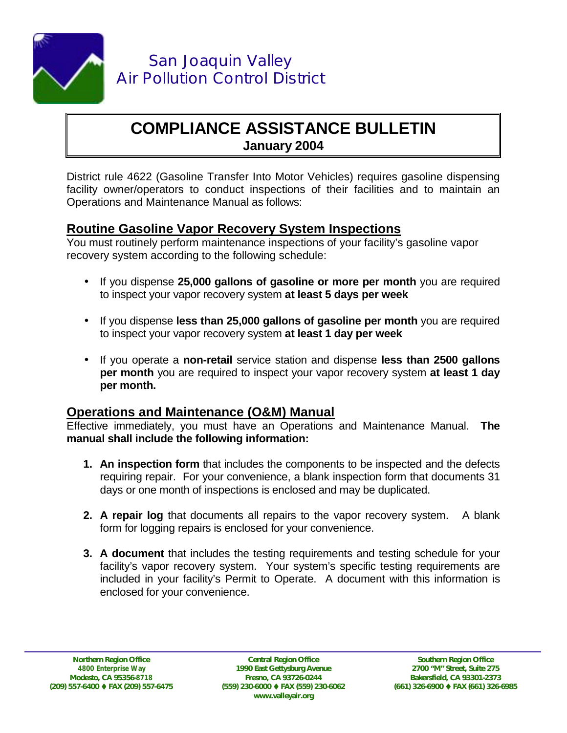

## **COMPLIANCE ASSISTANCE BULLETIN January 2004**

District rule 4622 (Gasoline Transfer Into Motor Vehicles) requires gasoline dispensing facility owner/operators to conduct inspections of their facilities and to maintain an Operations and Maintenance Manual as follows:

## **Routine Gasoline Vapor Recovery System Inspections**

You must routinely perform maintenance inspections of your facility's gasoline vapor recovery system according to the following schedule:

- If you dispense **25,000 gallons of gasoline or more per month** you are required to inspect your vapor recovery system **at least 5 days per week**
- If you dispense **less than 25,000 gallons of gasoline per month** you are required to inspect your vapor recovery system **at least 1 day per week**
- If you operate a **non-retail** service station and dispense **less than 2500 gallons per month** you are required to inspect your vapor recovery system **at least 1 day per month.**

## **Operations and Maintenance (O&M) Manual**

Effective immediately, you must have an Operations and Maintenance Manual. **The manual shall include the following information:** 

- **1. An inspection form** that includes the components to be inspected and the defects requiring repair. For your convenience, a blank inspection form that documents 31 days or one month of inspections is enclosed and may be duplicated.
- **2. A repair log** that documents all repairs to the vapor recovery system. A blank form for logging repairs is enclosed for your convenience.
- **3. A document** that includes the testing requirements and testing schedule for your facility's vapor recovery system. Your system's specific testing requirements are included in your facility's Permit to Operate. A document with this information is enclosed for your convenience.